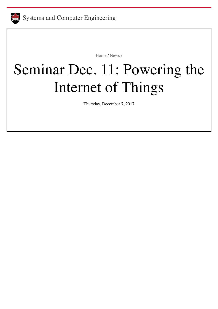

[Home](https://carleton.ca/sce/) / [News](https://carleton.ca/sce/category/news/) /

## Seminar Dec. 11: Powering the Internet of Things

Thursday, December 7, 2017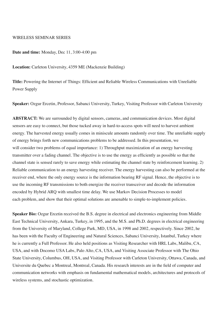## WIRELESS SEMINAR SERIES

**Date and time:** Monday, Dec 11, 3:00-4:00 pm

**Location:** Carleton University, 4359 ME (Mackenzie Building)

**Title:** Powering the Internet of Things: Efficient and Reliable Wireless Communications with Unreliable Power Supply

**Speaker:** Ozgur Ercetin, Professor, Sabanci University, Turkey, Visiting Professor with Carleton University

**ABSTRACT:** We are surrounded by digital sensors, cameras, and communication devices. Most digital sensors are easy to connect, but those tucked away in hard-to-access spots will need to harvest ambient energy. The harvested energy usually comes in miniscule amounts randomly over time. The unreliable supply of energy brings forth new communications problems to be addressed. In this presentation, we will consider two problems of equal importance: 1) Throughput maximization of an energy harvesting transmitter over a fading channel. The objective is to use the energy as efficiently as possible so that the channel state is sensed rarely to save energy while estimating the channel state by reinforcement learning. 2) Reliable communication to an energy harvesting receiver. The energy harvesting can also be performed at the receiver end, where the only energy source is the information bearing RF signal. Hence, the objective is to use the incoming RF transmissions to both energize the receiver transceiver and decode the information encoded by Hybrid ARQ with smallest time delay. We use Markov Decision Processes to model each problem, and show that their optimal solutions are amenable to simple-to-implement policies.

**Speaker Bio:** Ozgur Ercetin received the B.S. degree in electrical and electronics engineering from Middle East Technical University, Ankara, Turkey, in 1995, and the M.S. and Ph.D. degrees in electrical engineering from the University of Maryland, College Park, MD, USA, in 1998 and 2002, respectively. Since 2002, he has been with the Faculty of Engineering and Natural Sciences, Sabanci University, Istanbul, Turkey where he is currently a Full Professor. He also held positions as Visiting Researcher with HRL Labs, Malibu, CA, USA, and with Docomo USA Labs, Palo Alto, CA, USA, and Visiting Associate Professor with The Ohio State University, Columbus, OH, USA, and Visiting Professor with Carleton University, Ottawa, Canada, and Universite du Quebec a Montreal, Montreal, Canada. His research interests are in the field of computer and communication networks with emphasis on fundamental mathematical models, architectures and protocols of wireless systems, and stochastic optimization.